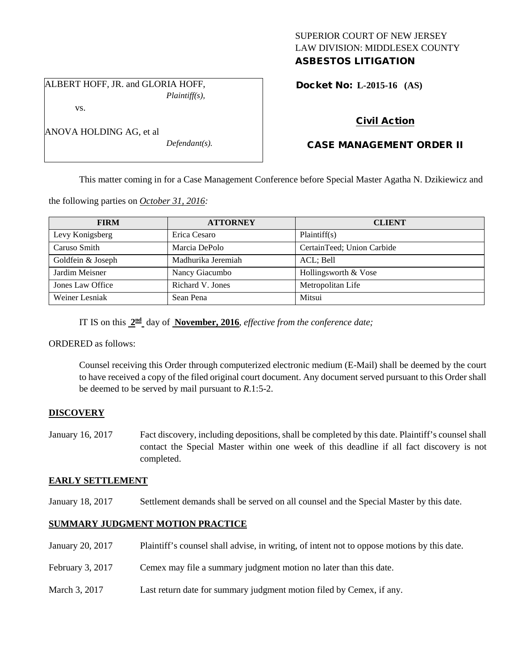# SUPERIOR COURT OF NEW JERSEY LAW DIVISION: MIDDLESEX COUNTY ASBESTOS LITIGATION

ALBERT HOFF, JR. and GLORIA HOFF, *Plaintiff(s),* Docket No: **L-2015-16 (AS)** 

# Civil Action

# CASE MANAGEMENT ORDER II

This matter coming in for a Case Management Conference before Special Master Agatha N. Dzikiewicz and

the following parties on *October 31, 2016:*

| <b>FIRM</b>       | <b>ATTORNEY</b>    | <b>CLIENT</b>              |
|-------------------|--------------------|----------------------------|
| Levy Konigsberg   | Erica Cesaro       | Plaintiff(s)               |
| Caruso Smith      | Marcia DePolo      | CertainTeed; Union Carbide |
| Goldfein & Joseph | Madhurika Jeremiah | ACL; Bell                  |
| Jardim Meisner    | Nancy Giacumbo     | Hollingsworth & Vose       |
| Jones Law Office  | Richard V. Jones   | Metropolitan Life          |
| Weiner Lesniak    | Sean Pena          | Mitsui                     |

IT IS on this **2nd** day of **November, 2016**, *effective from the conference date;*

ORDERED as follows:

Counsel receiving this Order through computerized electronic medium (E-Mail) shall be deemed by the court to have received a copy of the filed original court document. Any document served pursuant to this Order shall be deemed to be served by mail pursuant to *R*.1:5-2.

## **DISCOVERY**

January 16, 2017 Fact discovery, including depositions, shall be completed by this date. Plaintiff's counsel shall contact the Special Master within one week of this deadline if all fact discovery is not completed.

## **EARLY SETTLEMENT**

January 18, 2017 Settlement demands shall be served on all counsel and the Special Master by this date.

# **SUMMARY JUDGMENT MOTION PRACTICE**

- January 20, 2017 Plaintiff's counsel shall advise, in writing, of intent not to oppose motions by this date.
- February 3, 2017 Cemex may file a summary judgment motion no later than this date.
- March 3, 2017 Last return date for summary judgment motion filed by Cemex, if any.

ANOVA HOLDING AG, et al

vs.

*Defendant(s).*